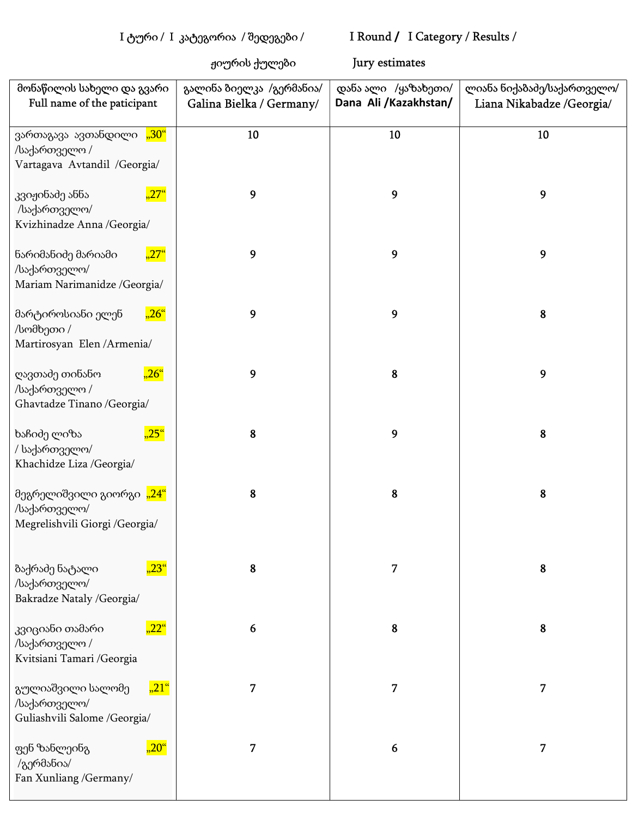## I ტური / I კატეგორია / შედეგები / I Round / I Category / Results /

ჟიურის ქულები Jury estimates

| მონაწილის სახელი და გვარი<br>Full name of the paticipant                                | გალინა ბიელკა /გერმანია/<br>Galina Bielka / Germany/ | დანა ალი /ყაზახეთი/<br>Dana Ali /Kazakhstan/ | ლიანა ნიქაბაძე/საქართველო/<br>Liana Nikabadze /Georgia/ |
|-----------------------------------------------------------------------------------------|------------------------------------------------------|----------------------------------------------|---------------------------------------------------------|
| ვართაგავა ავთანდილი <mark>"30"</mark><br>/საქართველო /<br>Vartagava Avtandil / Georgia/ | 10                                                   | 10                                           | 10                                                      |
| $,27$ "<br>კვიჟინაძე ანნა<br>/საქართველო/<br>Kvizhinadze Anna / Georgia/                | 9                                                    | 9                                            | 9                                                       |
| $27^\circ$<br>ნარიმანიძე მარიამი<br>/საქართველო/<br>Mariam Narimanidze / Georgia/       | 9                                                    | 9                                            | 9                                                       |
| $,26$ "<br>მარტიროსიანი ელენ<br>/სომხეთი /<br>Martirosyan Elen / Armenia/               | 9                                                    | 9                                            | 8                                                       |
| $,26$ "<br>ღავთაძე თინანო<br>/საქართველო /<br>Ghavtadze Tinano /Georgia/                | 9                                                    | 8                                            | 9                                                       |
| $,25$ "<br>ხაჩიძე ლიზა<br>/ საქართველო/<br>Khachidze Liza /Georgia/                     | 8                                                    | 9                                            | 8                                                       |
| მეგრელიშვილი გიორგი "24"<br>/საქართველო/<br>Megrelishvili Giorgi /Georgia/              | 8                                                    | 8                                            | 8                                                       |
| $,23^\circ$<br>ბაქრაძე ნატალი<br>/საქართველო/<br>Bakradze Nataly /Georgia/              | 8                                                    | 7                                            | 8                                                       |
| $,22^\circ$<br>კვიციანი თამარი<br>/საქართველო /<br>Kvitsiani Tamari /Georgia            | 6                                                    | 8                                            | 8                                                       |
| $, 21$ "<br>გულიაშვილი სალომე<br>/საქართველო/<br>Guliashvili Salome /Georgia/           | 7                                                    | 7                                            | 7                                                       |
| $\overline{20}^{\circ}$<br>ფენ ზანლეინგ<br>/გერმანია/<br>Fan Xunliang /Germany/         | 7                                                    | 6                                            | 7                                                       |